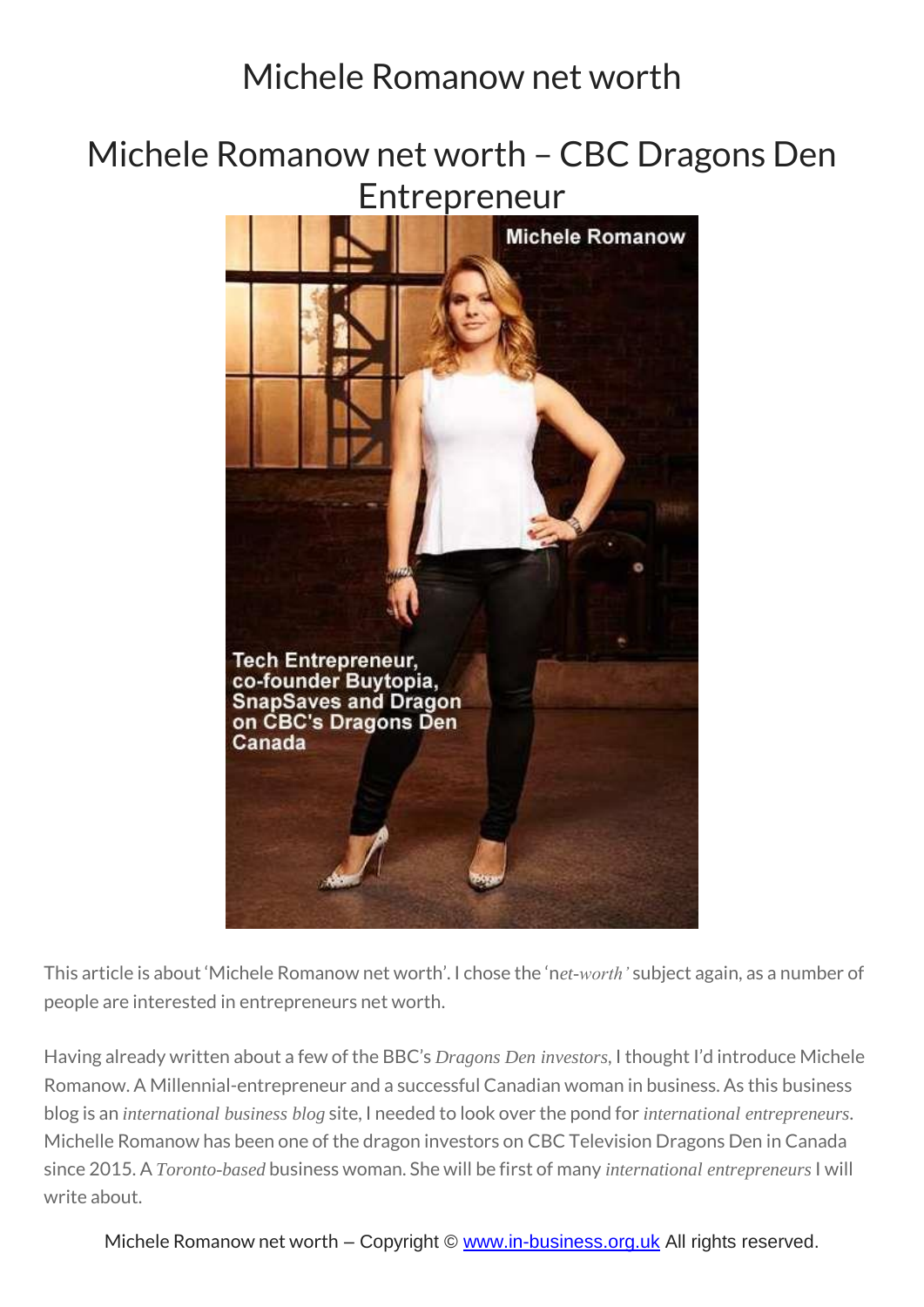### Michele Romanow net worth – CBC Dragons Den Entrepreneur



This article is about 'Michele Romanow net worth'. I chose the 'n*et-worth'* subject again, as a number of people are interested in entrepreneurs net worth.

Having already written about a few of the BBC's *Dragons Den investors*, I thought I'd introduce Michele Romanow. A Millennial-entrepreneur and a successful Canadian woman in business. As this business blog is an *international business blog* site, I needed to look over the pond for *international entrepreneurs*. Michelle Romanow has been one of the dragon investors on CBC Television Dragons Den in Canada since 2015. A *Toronto-based* business woman. She will be first of many *international entrepreneurs* I will write about.

Michele Romanow net worth – Copyright © [www.in-business.org.uk](http://www.in-business.org.uk/) All rights reserved.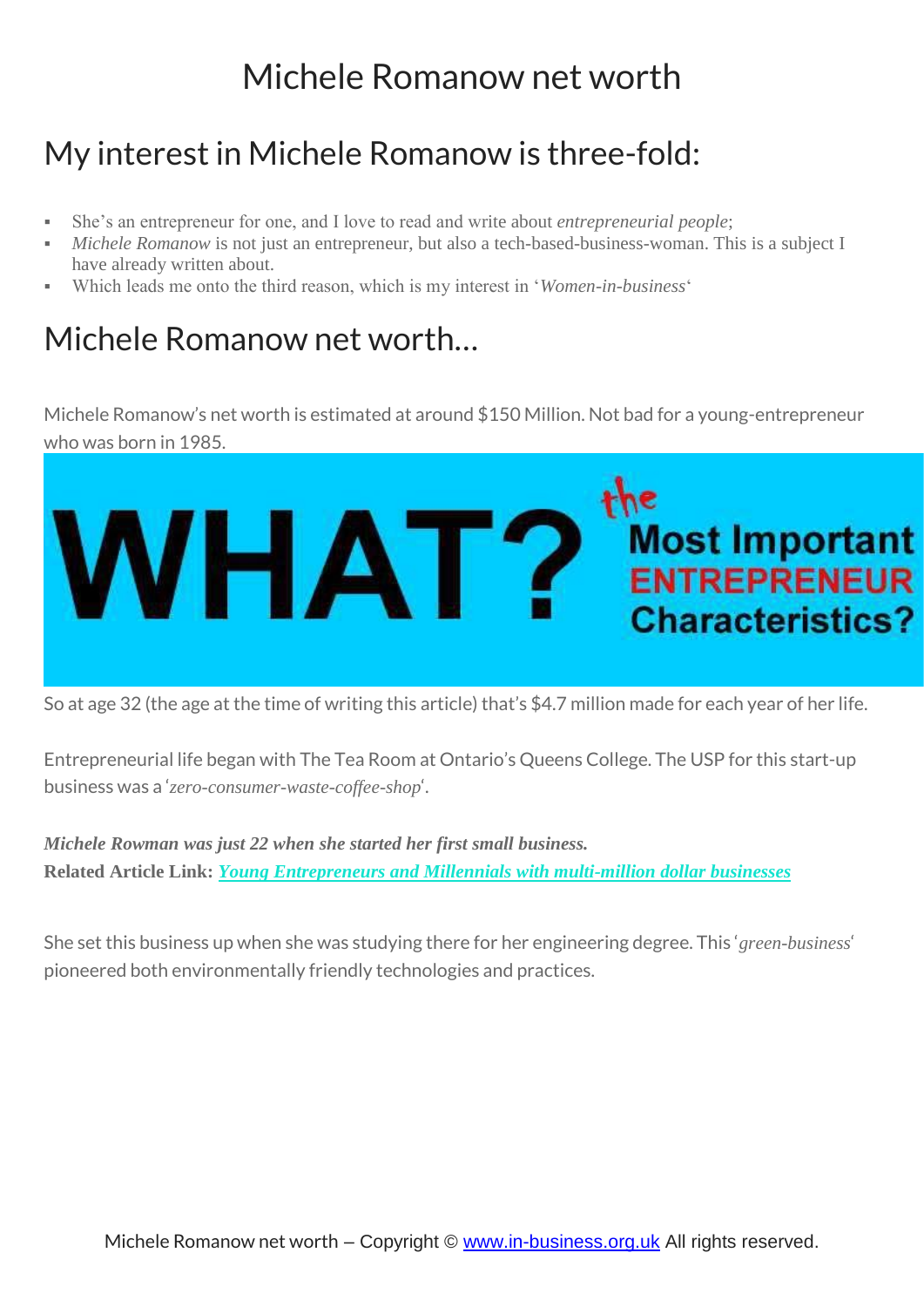### My interest in Michele Romanow is three-fold:

- She's an entrepreneur for one, and I love to read and write about *entrepreneurial people*;
- *Michele Romanow* is not just an entrepreneur, but also a tech-based-business-woman. This is a subject I have already written about.
- Which leads me onto the third reason, which is my interest in '*Women-in-business*'

#### Michele Romanow net worth…

Michele Romanow's net worth is estimated at around \$150 Million. Not bad for a young-entrepreneur who was born in 1985.



So at age 32 (the age at the time of writing this article) that's \$4.7 million made for each year of her life.

Entrepreneurial life began with The Tea Room at Ontario's Queens College. The USP for this start-up business was a '*zero-consumer-waste-coffee-shop*'.

*Michele Rowman was just 22 when she started her first small business.* **Related Article Link:** *Young [Entrepreneurs](https://in-business.org.uk/teenpreneur-aspiring-teen-entrepreneur/) and Millennials with multi-million dollar businesses*

She set this business up when she was studying there for her engineering degree. This '*green-business*' pioneered both environmentally friendly technologies and practices.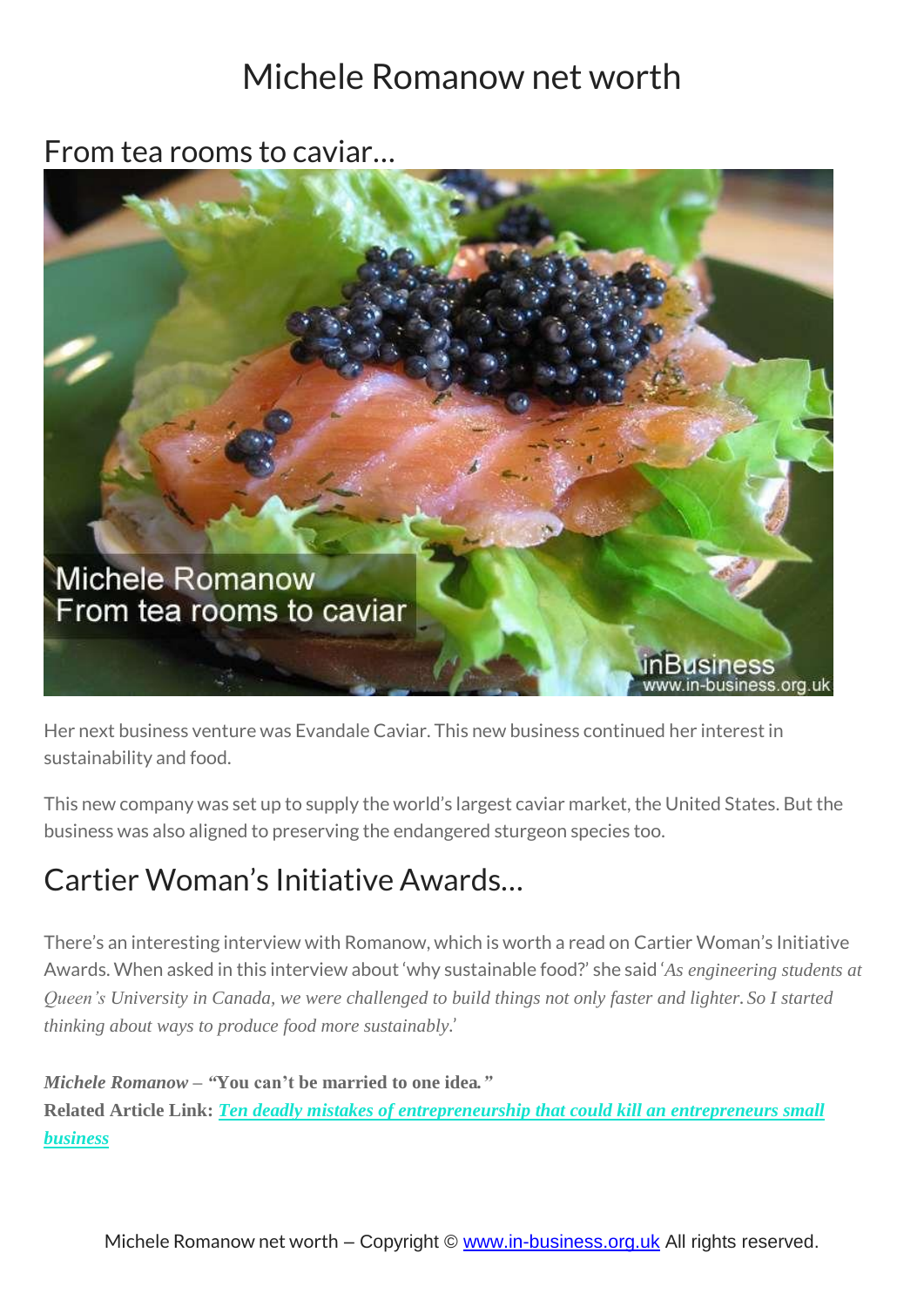From tea rooms to caviar…



Her next business venture was Evandale Caviar. This new business continued her interest in sustainability and food.

This new company was set up to supply the world's largest caviar market, the United States. But the business was also aligned to preserving the endangered sturgeon species too.

## Cartier Woman's Initiative Awards…

There's an interesting interview with Romanow, which is worth a read on Cartier Woman's Initiative Awards. When asked in this interview about 'why sustainable food?' she said '*As engineering students at* Queen's University in Canada, we were challenged to build things not only faster and lighter. So I started *thinking about ways to produce food more sustainably*.'

*Michele Romanow – "***You can't be married to one idea***."* **Related Article Link:** *Ten deadly mistakes of [entrepreneurship](https://in-business.org.uk/ten-deadly-mistakes-entrepreneurship/) that could kill an entrepreneurs small [business](https://in-business.org.uk/ten-deadly-mistakes-entrepreneurship/)*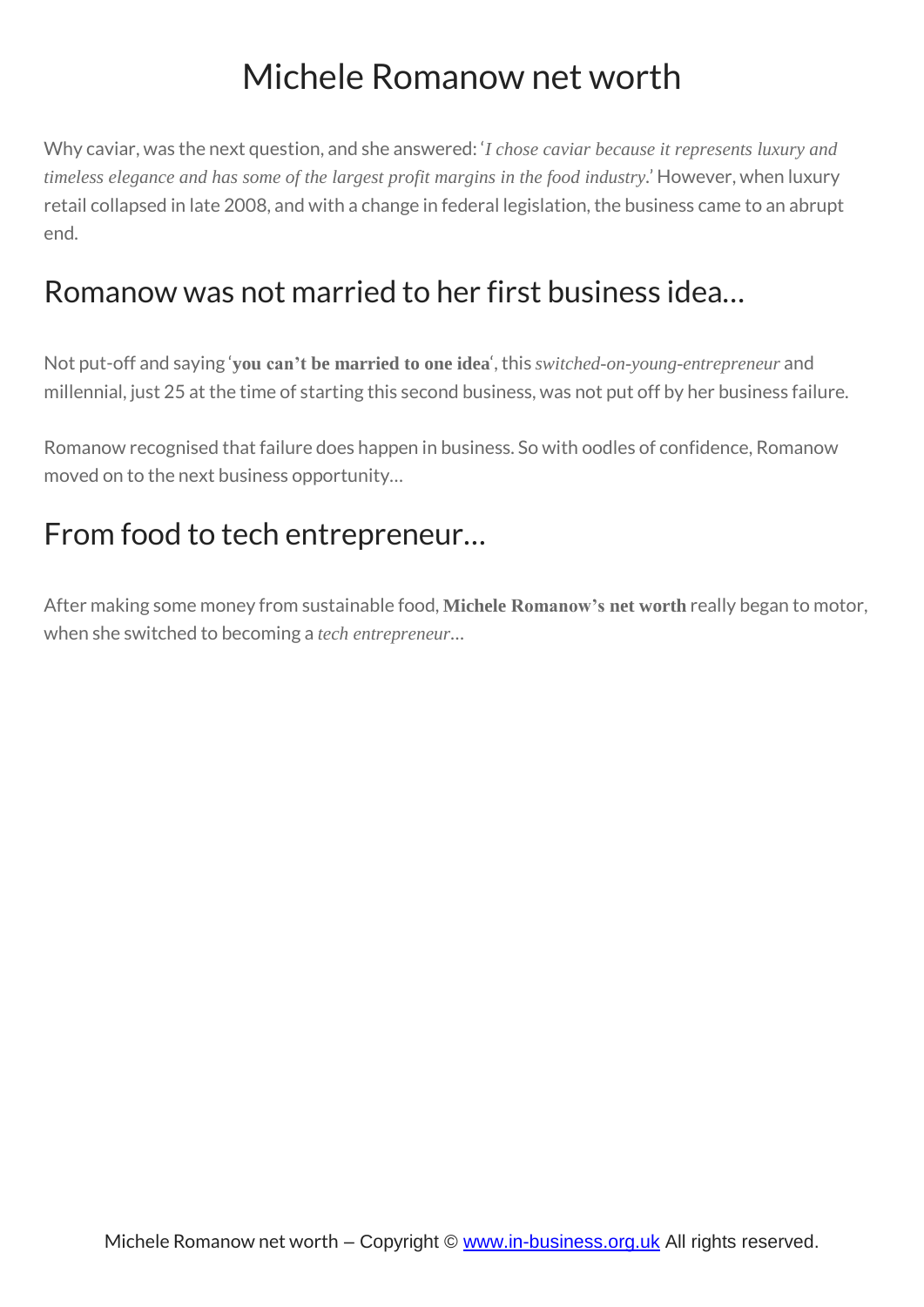Why caviar, was the next question, and she answered: '*I chose caviar because it represents luxury and timeless elegance and has some of the largest profit margins in the food industry*.' However, when luxury retail collapsed in late 2008, and with a change in federal legislation, the business came to an abrupt end.

#### Romanow was not married to her first business idea…

Not put-off and saying '**you can't be married to one idea**', this *switched-on-young-entrepreneur* and millennial, just 25 at the time of starting this second business, was not put off by her business failure.

Romanow recognised that failure does happen in business. So with oodles of confidence, Romanow moved on to the next business opportunity…

#### From food to tech entrepreneur…

After making some money from sustainable food, **Michele Romanow's net worth** really began to motor, when she switched to becoming a *tech entrepreneur*…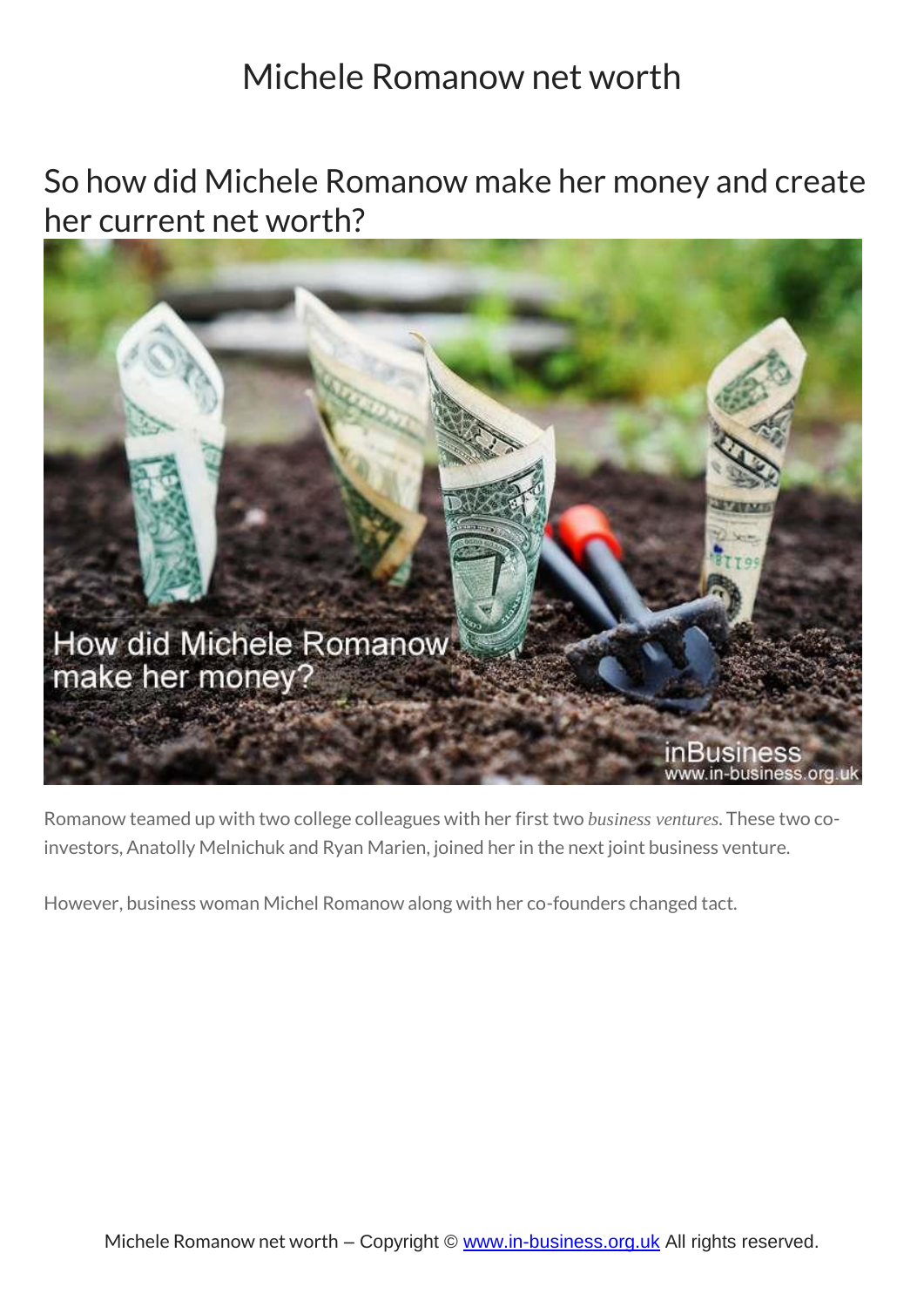So how did Michele Romanow make her money and create her current net worth?



Romanow teamed up with two college colleagues with her first two *business ventures*. These two coinvestors, Anatolly Melnichuk and Ryan Marien, joined her in the next joint business venture.

However, business woman Michel Romanow along with her co-founders changed tact.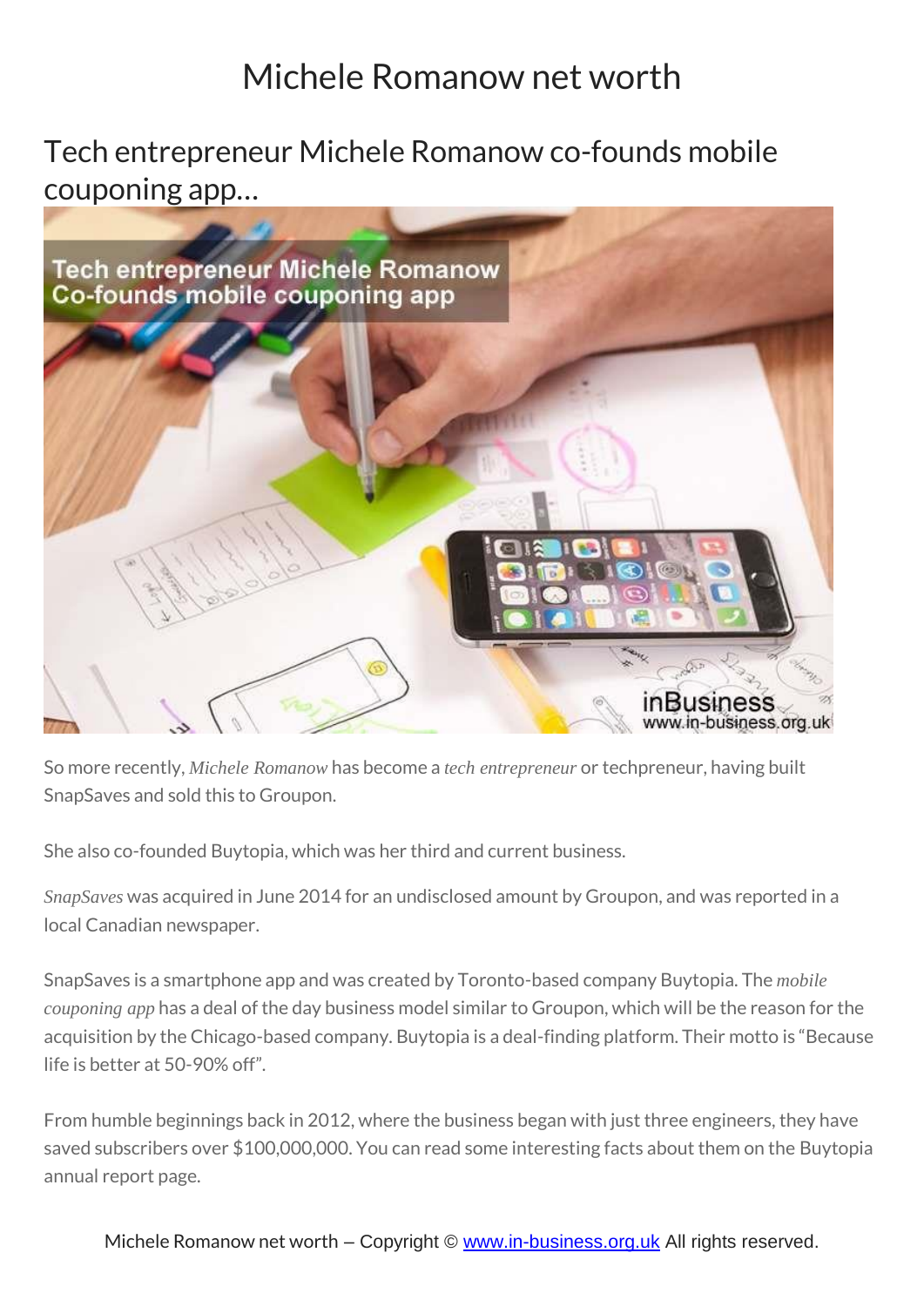Tech entrepreneur Michele Romanow co-founds mobile couponing app…



So more recently, *Michele Romanow* has become a *tech entrepreneur* or techpreneur, having built SnapSaves and sold this to Groupon.

She also co-founded Buytopia, which was her third and current business.

*SnapSaves* was acquired in June 2014 for an undisclosed amount by Groupon, and was reported in a local Canadian newspaper.

SnapSaves is a smartphone app and was created by Toronto-based company Buytopia. The *mobile couponing app* has a deal of the day business model similar to Groupon, which will be the reason for the acquisition by the Chicago-based company. Buytopia is a deal-finding platform. Their motto is "Because life is better at 50-90% off".

From humble beginnings back in 2012, where the business began with just three engineers, they have saved subscribers over \$100,000,000. You can read some interesting facts about them on the Buytopia annual report page.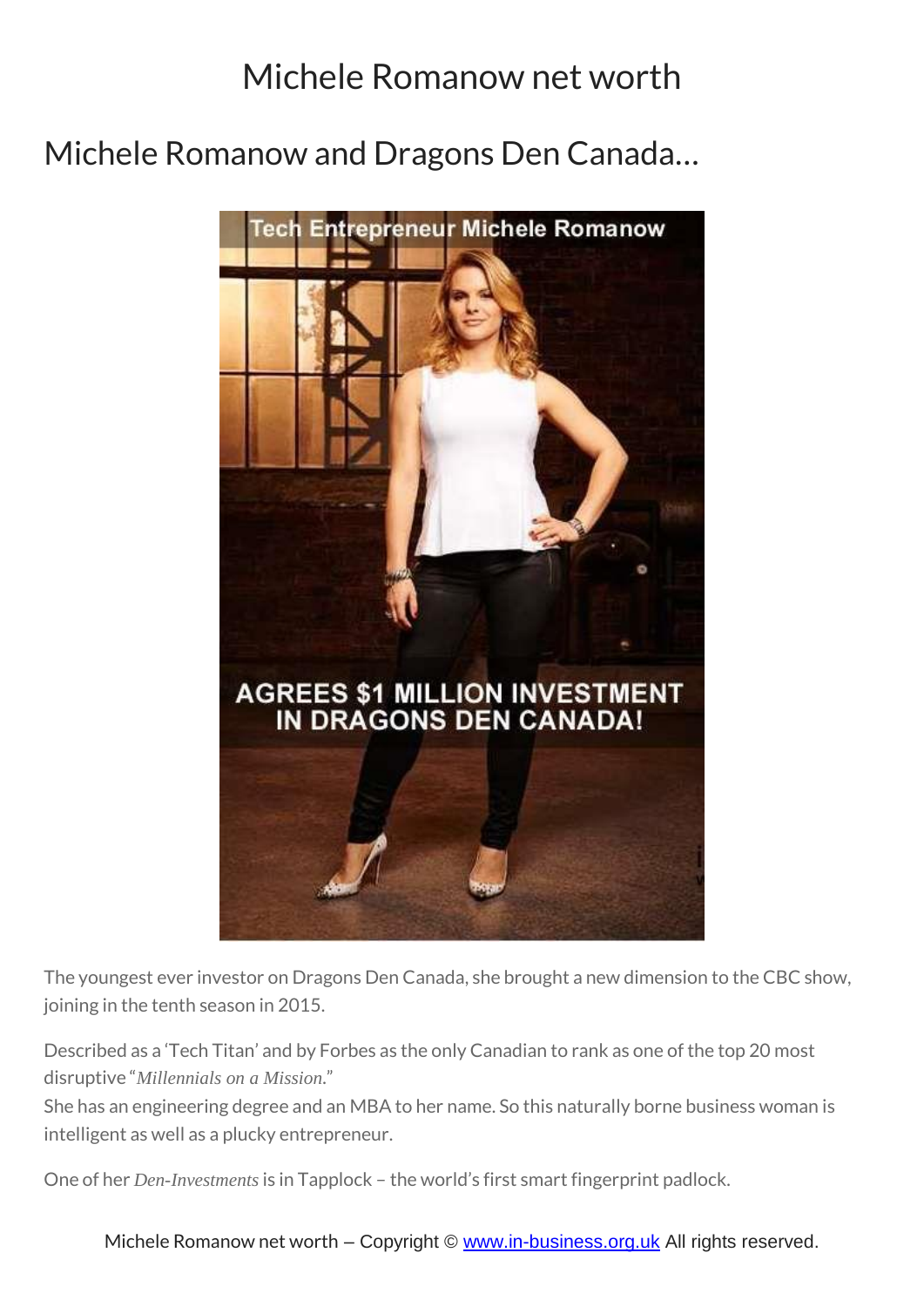Michele Romanow and Dragons Den Canada…



The youngest ever investor on Dragons Den Canada, she brought a new dimension to the CBC show, joining in the tenth season in 2015.

Described as a 'Tech Titan' and by Forbes as the only Canadian to rank as one of the top 20 most disruptive "*Millennials on a Mission*."

She has an engineering degree and an MBA to her name. So this naturally borne business woman is intelligent as well as a plucky entrepreneur.

One of her *Den-Investments* is in Tapplock – the world's first smart fingerprint padlock.

Michele Romanow net worth – Copyright © [www.in-business.org.uk](http://www.in-business.org.uk/) All rights reserved.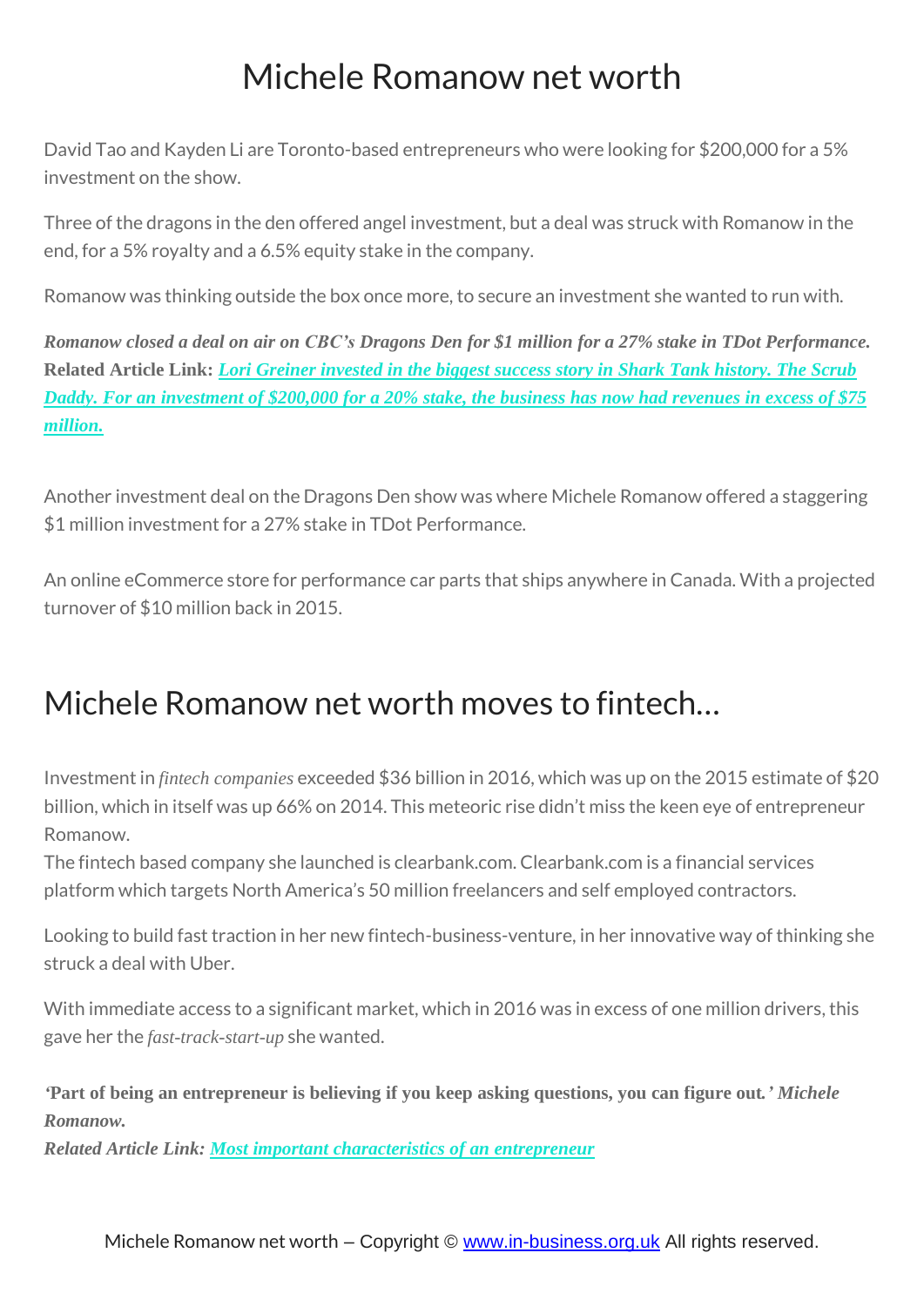David Tao and Kayden Li are Toronto-based entrepreneurs who were looking for \$200,000 for a 5% investment on the show.

Three of the dragons in the den offered angel investment, but a deal was struck with Romanow in the end, for a 5% royalty and a 6.5% equity stake in the company.

Romanow was thinking outside the box once more, to secure an investment she wanted to run with.

Romanow closed a deal on air on CBC's Dragons Den for \$1 million for a 27% stake in TDot Performance. **Related Article Link:** *Lori Greiner [invested](https://in-business.org.uk/lori-greiner-net-worth/) in the biggest success story in Shark Tank history. The Scrub* Daddy. For an [investment](https://in-business.org.uk/lori-greiner-net-worth/) of \$200,000 for a 20% stake, the business has now had revenues in excess of \$75 *[million.](https://in-business.org.uk/lori-greiner-net-worth/)*

Another investment deal on the Dragons Den show was where Michele Romanow offered a staggering \$1 million investment for a 27% stake in TDot Performance.

An online eCommerce store for performance car parts that ships anywhere in Canada. With a projected turnover of \$10 million back in 2015.

# Michele Romanow net worth moves to fintech…

Investment in *fintech companies* exceeded \$36 billion in 2016, which was up on the 2015 estimate of \$20 billion, which in itself was up 66% on 2014. This meteoric rise didn't miss the keen eye of entrepreneur Romanow.

The fintech based company she launched is clearbank.com. Clearbank.com is a financial services platform which targets North America's 50 million freelancers and self employed contractors.

Looking to build fast traction in her new fintech-business-venture, in her innovative way of thinking she struck a deal with Uber.

With immediate access to a significant market, which in 2016 was in excess of one million drivers, this gave her the *fast-track-start-up* she wanted.

'Part of being an entrepreneur is believing if you keep asking questions, you can figure out.' Michele *Romanow.*

*Related Article Link: Most important [characteristics](https://in-business.org.uk/most-important-characteristics-of-an-entrepreneur/) of an entrepreneur*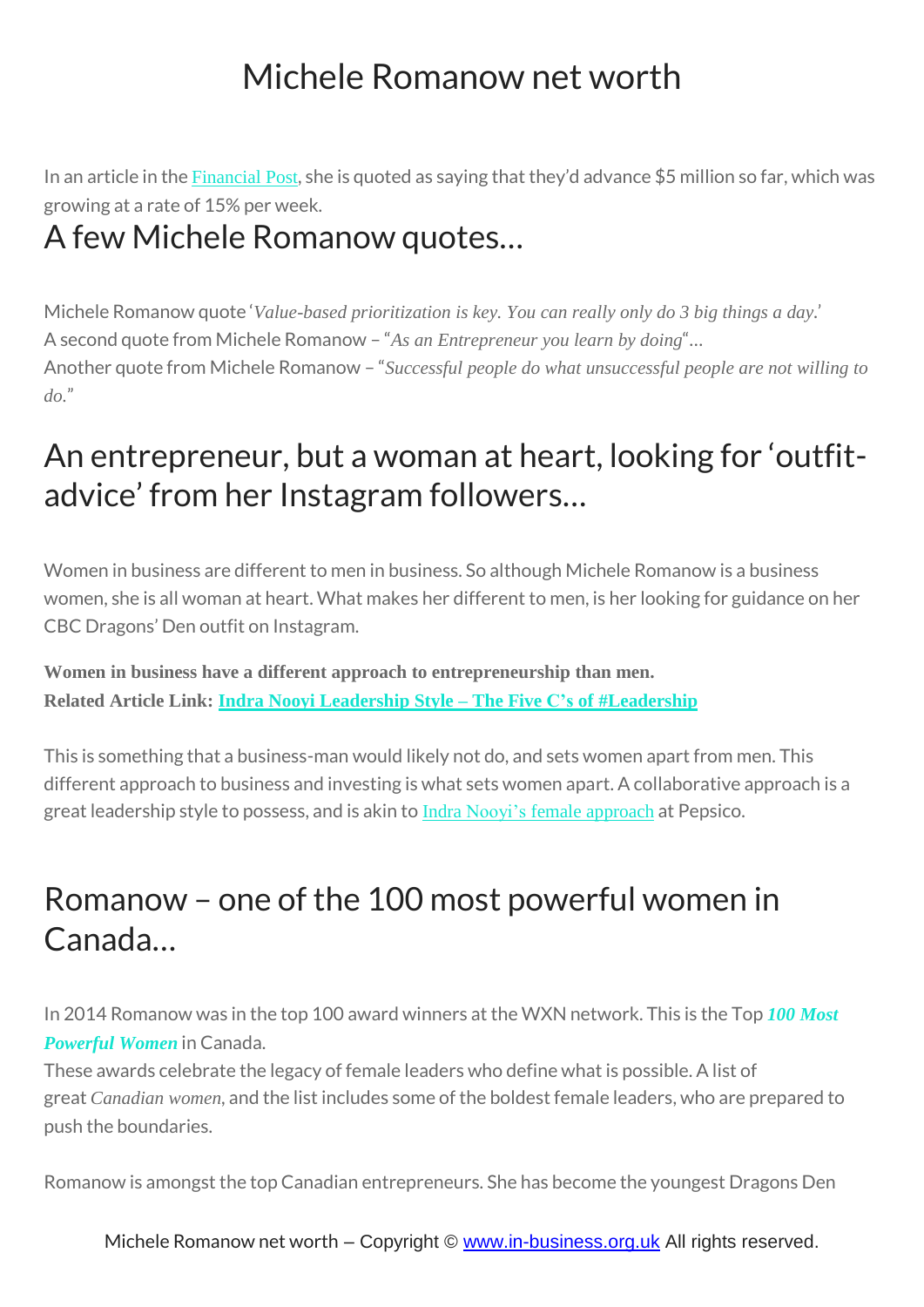In an article in the [Financial](http://business.financialpost.com/entrepreneur/fp-startups/groupon-co-founder-and-dragon-investor-michele-romanow-opens-a-bank-for-freelancers/wcm/4a073e03-53c0-46e6-999a-171aa7237cc1) Post, she is quoted as saying that they'd advance \$5 million so far, which was growing at a rate of 15% per week.

#### A few Michele Romanow quotes…

Michele Romanow quote '*Value-based prioritization is key. You can really only do 3 big things a day*.' A second quote from Michele Romanow – "*As an Entrepreneur you learn by doing*"… Another quote from Michele Romanow – "*Successful people do what unsuccessful people are not willing to do.*"

## An entrepreneur, but a woman at heart, looking for 'outfitadvice' from her Instagram followers…

Women in business are different to men in business. So although Michele Romanow is a business women, she is all woman at heart. What makes her different to men, is her looking for guidance on her CBC Dragons' Den outfit on Instagram.

**Women in business have a different approach to entrepreneurship than men. Related Article Link: Indra Nooyi Leadership Style – The Five C's of [#Leadership](https://in-business.org.uk/indra-nooyi-leadership-style-chairperson-ceo-of-pepsico/)**

This is something that a business-man would likely not do, and sets women apart from men. This different approach to business and investing is what sets women apart. A collaborative approach is a great leadership style to possess, and is akin to Indra Nooyi's female [approach](https://in-business.org.uk/indra-nooyi-leadership-style-chairperson-ceo-of-pepsico/) at Pepsico.

## Romanow – one of the 100 most powerful women in Canada…

In 2014 Romanow was in the top 100 award winners at the WXN network. This is the Top *100 [Most](http://www.newswire.ca/news-releases/womens-executive-network-reveals-2014-canadas-most-powerful-women-top-100-award-winners-516543501.html) [Powerful](http://www.newswire.ca/news-releases/womens-executive-network-reveals-2014-canadas-most-powerful-women-top-100-award-winners-516543501.html) Women* in Canada.

These awards celebrate the legacy of female leaders who define what is possible. A list of great *Canadian women*, and the list includes some of the boldest female leaders, who are prepared to push the boundaries.

Romanow is amongst the top Canadian entrepreneurs. She has become the youngest Dragons Den

Michele Romanow net worth – Copyright © [www.in-business.org.uk](http://www.in-business.org.uk/) All rights reserved.